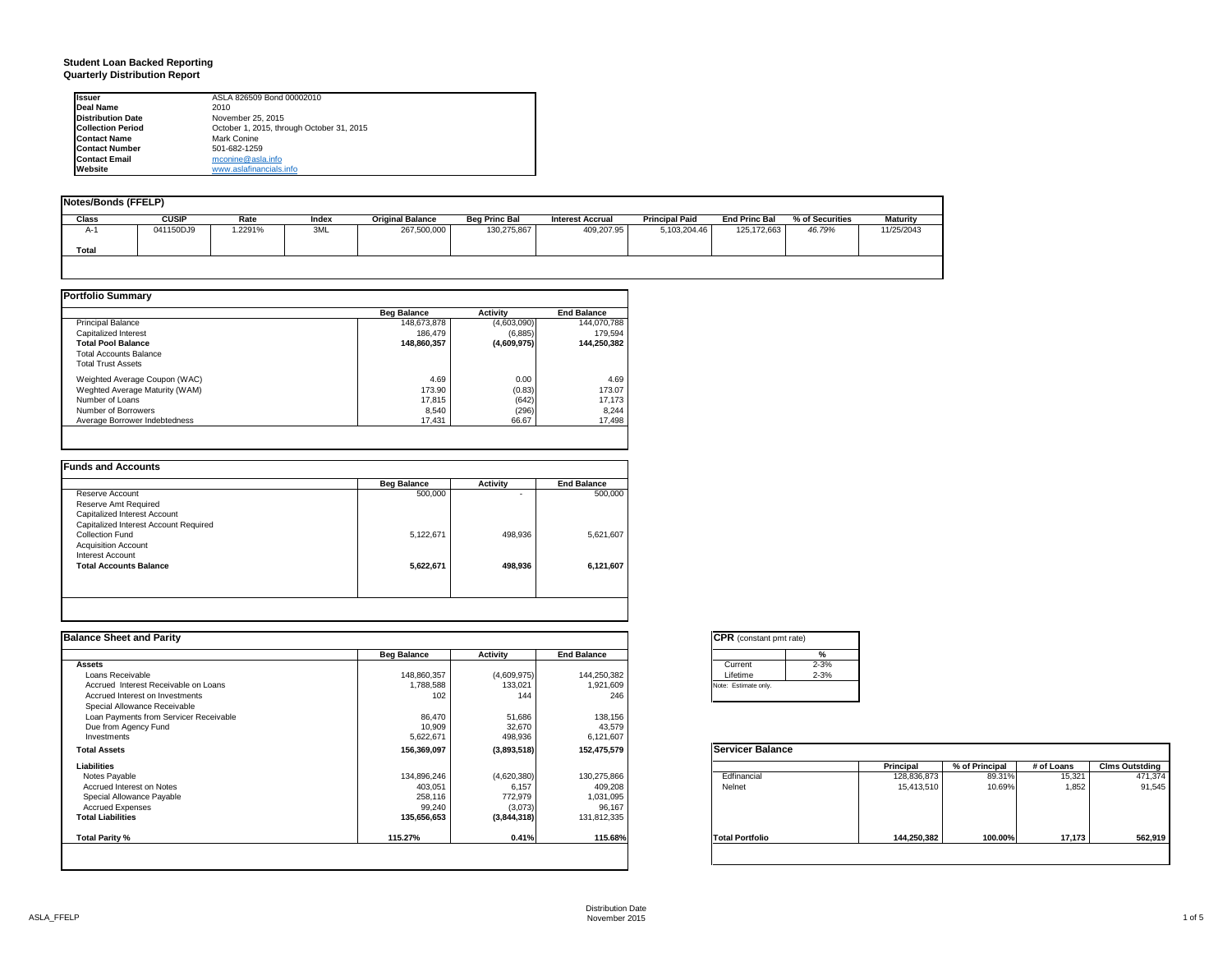#### **Student Loan Backed Reporting Quarterly Distribution Report**

| <b>Issuer</b>            | ASLA 826509 Bond 00002010                 |  |
|--------------------------|-------------------------------------------|--|
| <b>Deal Name</b>         | 2010                                      |  |
| <b>Distribution Date</b> | November 25, 2015                         |  |
| <b>Collection Period</b> | October 1, 2015, through October 31, 2015 |  |
| <b>Contact Name</b>      | Mark Conine                               |  |
| <b>Contact Number</b>    | 501-682-1259                              |  |
| <b>Contact Email</b>     | mconine@asla.info                         |  |
| Website                  | www.aslafinancials.info                   |  |

| Notes/Bonds (FFELP) |              |         |       |                         |                      |                         |                       |                      |                 |            |
|---------------------|--------------|---------|-------|-------------------------|----------------------|-------------------------|-----------------------|----------------------|-----------------|------------|
| <b>Class</b>        | <b>CUSIP</b> | Rate    | Index | <b>Original Balance</b> | <b>Beg Princ Bal</b> | <b>Interest Accrual</b> | <b>Principal Paid</b> | <b>End Princ Bal</b> | % of Securities | Maturity   |
| A-1                 | 041150DJ9    | 1.2291% | 3ML   | 267,500,000             | 130,275,867          | 409,207.95              | 5,103,204.46          | 125, 172, 663        | 46.79%          | 11/25/2043 |
| Total               |              |         |       |                         |                      |                         |                       |                      |                 |            |
|                     |              |         |       |                         |                      |                         |                       |                      |                 |            |
|                     |              |         |       |                         |                      |                         |                       |                      |                 |            |

|                                | <b>Beg Balance</b> | <b>Activity</b> | <b>End Balance</b> |
|--------------------------------|--------------------|-----------------|--------------------|
| <b>Principal Balance</b>       | 148,673,878        | (4,603,090)     | 144.070.788        |
| Capitalized Interest           | 186.479            | (6,885)         | 179.594            |
| <b>Total Pool Balance</b>      | 148,860,357        | (4,609,975)     | 144.250.382        |
| <b>Total Accounts Balance</b>  |                    |                 |                    |
| <b>Total Trust Assets</b>      |                    |                 |                    |
| Weighted Average Coupon (WAC)  | 4.69               | 0.00            | 4.69               |
| Weghted Average Maturity (WAM) | 173.90             | (0.83)          | 173.07             |
| Number of Loans                | 17,815             | (642)           | 17,173             |
| Number of Borrowers            | 8.540              | (296)           | 8.244              |
| Average Borrower Indebtedness  | 17,431             | 66.67           | 17,498             |

|                                       | <b>Beg Balance</b> | <b>Activity</b> | <b>End Balance</b> |
|---------------------------------------|--------------------|-----------------|--------------------|
| Reserve Account                       | 500,000            | ۰               | 500,000            |
| Reserve Amt Required                  |                    |                 |                    |
| Capitalized Interest Account          |                    |                 |                    |
| Capitalized Interest Account Required |                    |                 |                    |
| Collection Fund                       | 5,122,671          | 498.936         | 5,621,607          |
| <b>Acquisition Account</b>            |                    |                 |                    |
| <b>Interest Account</b>               |                    |                 |                    |
| <b>Total Accounts Balance</b>         | 5,622,671          | 498,936         | 6,121,607          |
|                                       |                    |                 |                    |
|                                       |                    |                 |                    |

| <b>Balance Sheet and Parity</b>        |                    |             |                    | <b>CPR</b> (constant pmt rate) |             |                |            |                       |
|----------------------------------------|--------------------|-------------|--------------------|--------------------------------|-------------|----------------|------------|-----------------------|
|                                        | <b>Beg Balance</b> | Activity    | <b>End Balance</b> | $\frac{9}{6}$                  |             |                |            |                       |
| <b>Assets</b>                          |                    |             |                    | $2 - 3%$<br>Current            |             |                |            |                       |
| Loans Receivable                       | 148,860,357        | (4,609,975) | 144,250,382        | $2 - 3%$<br>Lifetime           |             |                |            |                       |
| Accrued Interest Receivable on Loans   | 1,788,588          | 133,021     | 1,921,609          | Note: Estimate only.           |             |                |            |                       |
| Accrued Interest on Investments        | 102                | 144         | 246                |                                |             |                |            |                       |
| Special Allowance Receivable           |                    |             |                    |                                |             |                |            |                       |
| Loan Payments from Servicer Receivable | 86,470             | 51,686      | 138,156            |                                |             |                |            |                       |
| Due from Agency Fund                   | 10,909             | 32,670      | 43,579             |                                |             |                |            |                       |
| Investments                            | 5,622,671          | 498,936     | 6,121,607          |                                |             |                |            |                       |
| <b>Total Assets</b>                    | 156,369,097        | (3,893,518) | 152,475,579        | <b>Servicer Balance</b>        |             |                |            |                       |
| Liabilities                            |                    |             |                    |                                | Principal   | % of Principal | # of Loans | <b>Clms Outstding</b> |
| Notes Payable                          | 134,896,246        | (4,620,380) | 130,275,866        | Edfinancial                    | 128,836,873 | 89.31%         | 15,321     | 471,374               |
| Accrued Interest on Notes              | 403,051            | 6,157       | 409,208            | Nelnet                         | 15,413,510  | 10.69%         | 1,852      | 91,545                |
| Special Allowance Payable              | 258,116            | 772,979     | 1,031,095          |                                |             |                |            |                       |
| <b>Accrued Expenses</b>                | 99,240             | (3,073)     | 96,167             |                                |             |                |            |                       |
| <b>Total Liabilities</b>               | 135,656,653        | (3,844,318) | 131,812,335        |                                |             |                |            |                       |
| Total Parity %                         | 115.27%            | 0.41%       | 115.68%            | <b>Total Portfolio</b>         | 144,250,382 | 100.00%        | 17,173     | 562,919               |

|          | %        |
|----------|----------|
| Current  | $2 - 3%$ |
| Lifetime | $2 - 3%$ |

|                        | Principal   | % of Principal | # of Loans | <b>Clms Outstding</b> |
|------------------------|-------------|----------------|------------|-----------------------|
| Edfinancial            | 128,836,873 | 89.31%         | 15,321     | 471,374               |
| Nelnet                 | 15,413,510  | 10.69%         | 1,852      | 91,545                |
| <b>Total Portfolio</b> | 144,250,382 | 100.00%        | 17,173     | 562,919               |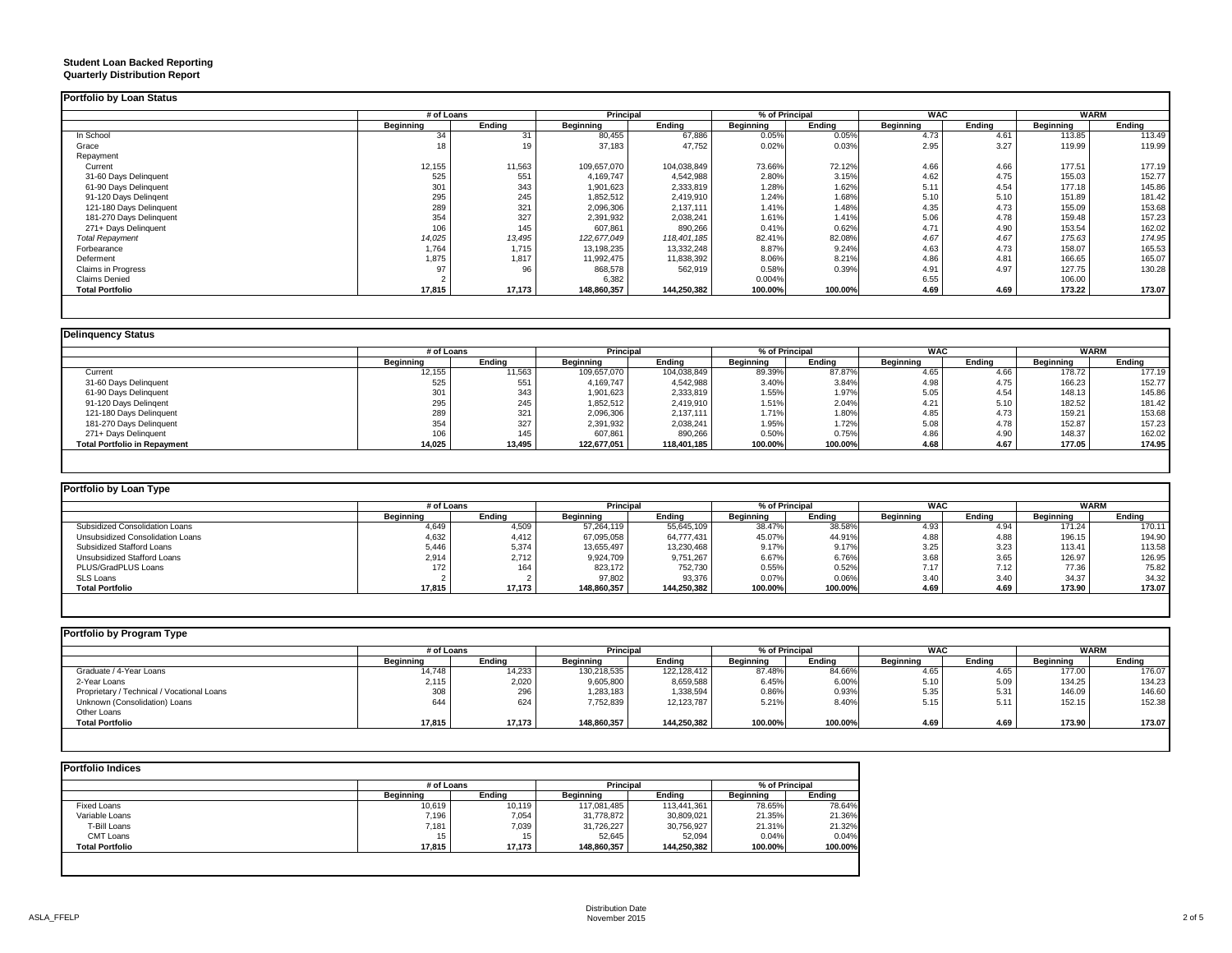#### **Student Loan Backed Reporting Quarterly Distribution Report**

|                         |                  | # of Loans |                  | Principal   |           | % of Principal |                  | <b>WAC</b> |           | <b>WARM</b> |  |
|-------------------------|------------------|------------|------------------|-------------|-----------|----------------|------------------|------------|-----------|-------------|--|
|                         | <b>Beginning</b> | Ending     | <b>Beginning</b> | Ending      | Beginning | Ending         | <b>Beginning</b> | Ending     | Beginning | Ending      |  |
| In School               | 34               | 31         | 80,455           | 67,886      | 0.05%     | 0.05%          | 4.73             | 4.61       | 113.85    | 113.49      |  |
| Grace                   | 18               |            | 37,183           | 47,752      | 0.02%     | 0.03%          | 2.95             | 3.27       | 119.99    | 119.99      |  |
| Repayment               |                  |            |                  |             |           |                |                  |            |           |             |  |
| Current                 | 12,155           | 11,563     | 109,657,070      | 104,038,849 | 73.66%    | 72.12%         | 4.66             | 4.66       | 177.51    | 177.19      |  |
| 31-60 Days Delinquent   | 525              | 551        | 4,169,747        | 4,542,988   | 2.80%     | 3.15%          | 4.62             | 4.75       | 155.03    | 152.77      |  |
| 61-90 Days Delinquent   | 301              | 343        | 1,901,623        | 2,333,819   | 1.28%     | 1.62%          | 5.11             | 4.54       | 177.18    | 145.86      |  |
| 91-120 Days Delingent   | 295              | 245        | 1,852,512        | 2,419,910   | 1.24%     | 1.68%          | 5.10             | 5.10       | 151.89    | 181.42      |  |
| 121-180 Days Delinquent | 289              | 321        | 2,096,306        | 2,137,111   | 1.41%     | 1.48%          | 4.35             | 4.73       | 155.09    | 153.68      |  |
| 181-270 Days Delinquent | 354              | 327        | 2,391,932        | 2,038,241   | 1.61%     | 1.41%          | 5.06             | 4.78       | 159.48    | 157.23      |  |
| 271+ Days Delinquent    | 106              | 145        | 607,861          | 890,266     | 0.41%     | 0.62%          | 4.71             | 4.90       | 153.54    | 162.02      |  |
| <b>Total Repayment</b>  | 14,025           | 13,495     | 122.677.049      | 118,401,185 | 82.41%    | 82.08%         | 4.67             | 4.67       | 175.63    | 174.95      |  |
| Forbearance             | 1,764            | 1.715      | 13,198,235       | 13,332,248  | 8.87%     | 9.24%          | 4.63             | 4.73       | 158.07    | 165.53      |  |
| Deferment               | 1,875            | 1,817      | 11,992,475       | 11,838,392  | 8.06%     | 8.21%          | 4.86             | 4.81       | 166.65    | 165.07      |  |
| Claims in Progress      | 97               | 96         | 868,578          | 562,919     | 0.58%     | 0.39%          | 4.91             | 4.97       | 127.75    | 130.28      |  |
| <b>Claims Denied</b>    |                  |            | 6,382            |             | 0.004%    |                | 6.55             |            | 106.00    |             |  |
| <b>Total Portfolio</b>  | 17,815           | 17,173     | 148,860,357      | 144,250,382 | 100.00%   | 100.00%        | 4.69             | 4.69       | 173.22    | 173.07      |  |

### **Delinquency Status**

|                                     | # of Loans       |        | <b>Principal</b> |             | % of Principal |         | <b>WAC</b> |        | <b>WARM</b>      |        |
|-------------------------------------|------------------|--------|------------------|-------------|----------------|---------|------------|--------|------------------|--------|
|                                     | <b>Beginning</b> | Endina | <b>Beginning</b> | Endina      | Beginning      | Endina  | Beainnina  | Endina | <b>Beginning</b> | Endina |
| Current                             | 12,155           | 11,563 | 109,657,070      | 104,038,849 | 89.39%         | 87.87%  | 4.65       | 4.66   | 178.72           | 177.19 |
| 31-60 Days Delinquent               | 525              | 551    | 4,169,747        | 4,542,988   | 3.40%          | 3.84%   | 4.98       | 4.75   | 166.23           | 152.77 |
| 61-90 Days Delinquent               | 301              | 343    | 1,901,623        | 2,333,819   | 1.55%          | 1.97%   | 5.05       | 4.54   | 148.13           | 145.86 |
| 91-120 Days Delingent               | 295              | 245    | 1,852,512        | 2,419,910   | 1.51%          | 2.04%   | 4.21       | 5.10   | 182.52           | 181.42 |
| 121-180 Days Delinquent             | 289              | 321    | 2,096,306        | 2,137,111   | 1.71%          | 1.80%   | 4.85       | 4.73   | 159.21           | 153.68 |
| 181-270 Days Delinquent             | 354              | 327    | 2,391,932        | 2,038,241   | 1.95%          | 1.72%   | 5.08       | 4.78   | 152.87           | 157.23 |
| 271+ Days Delinquent                | 106              | 145    | 607,861          | 890,266     | 0.50%          | 0.75%   | 4.86       | 4.90   | 148.37           | 162.02 |
| <b>Total Portfolio in Repayment</b> | 14,025           | 13,495 | 122,677,051      | 118,401,185 | 100.00%        | 100.00% | 4.68       | 4.67   | 177.05           | 174.95 |

| Portfolio by Loan Type           |            |        |                  |             |                |         |                  |        |             |        |
|----------------------------------|------------|--------|------------------|-------------|----------------|---------|------------------|--------|-------------|--------|
|                                  | # of Loans |        | <b>Principal</b> |             | % of Principal |         | <b>WAC</b>       |        | <b>WARM</b> |        |
|                                  | Beginning  | Endina | <b>Beginning</b> | Endina      | Beainning      | Endina  | <b>Beainning</b> | Endina | Beainnina   | Endina |
| Subsidized Consolidation Loans   | 4,649      | 4,509  | 57.264.119       | 55.645.109  | 38.47%         | 38.58%  | 4.93             | 4.94   | 171.24      | 170.11 |
| Unsubsidized Consolidation Loans | 4,632      | 4.412  | 67,095,058       | 64,777,431  | 45.07%         | 44.91%  | 4.88             | 4.88   | 196.15      | 194.90 |
| Subsidized Stafford Loans        | 5,446      | 5,374  | 13,655,497       | 13,230,468  | 9.17%          | 9.17%   | 3.25             | 3.23   | 113.41      | 113.58 |
| Unsubsidized Stafford Loans      | 2,914      | 2.712  | 9,924,709        | 9,751,267   | 6.67%          | 6.76%   | 3.68             | 3.65   | 126.97      | 126.95 |
| PLUS/GradPLUS Loans              | 172        | 164    | 823.172          | 752.730     | 0.55%          | 0.52%   | 7.17             | 7.12   | 77.36       | 75.82  |
| SLS Loans                        |            |        | 97,802           | 93,376      | 0.07%          | 0.06%   | 3.40             | 3.40   | 34.37       | 34.32  |
| <b>Total Portfolio</b>           | 17,815     | 17,173 | 148.860.357      | 144.250.382 | 100.00%        | 100.00% | 4.69             | 4.69   | 173.90      | 173.07 |

| Portfolio by Program Type                  |            |        |                  |             |                  |         |            |        |                  |        |
|--------------------------------------------|------------|--------|------------------|-------------|------------------|---------|------------|--------|------------------|--------|
|                                            | # of Loans |        | Principal        |             | % of Principal   |         | <b>WAC</b> |        | <b>WARM</b>      |        |
|                                            | Beginning  | Endina | <b>Beainning</b> | Endina      | <b>Beainning</b> | Endina  | Beginning  | Endina | <b>Beainning</b> | Endina |
| Graduate / 4-Year Loans                    | 14,748     | 14,233 | 130,218,535      | 122,128,412 | 87.48%           | 84.66%  | 4.65       | 4.65   | 177.00           | 176.07 |
| 2-Year Loans                               | 2,115      | 2,020  | 9,605,800        | 8,659,588   | 6.45%            | 6.00%   | 5.10       | 5.09   | 134.25           | 134.23 |
| Proprietary / Technical / Vocational Loans | 308        | 296    | 1,283,183        | 1,338,594   | 0.86%            | 0.93%   | 5.35       | 5.31   | 146.09           | 146.60 |
| Unknown (Consolidation) Loans              | 644        | 624    | 7,752,839        | 12,123,787  | 5.21%            | 8.40%   | 5.15       | 5.11   | 152.15           | 152.38 |
| Other Loans                                |            |        |                  |             |                  |         |            |        |                  |        |
| <b>Total Portfolio</b>                     | 17,815     | 17,173 | 148.860.357      | 144,250,382 | 100.00%          | 100.00% | 4.69       | 4.69   | 173.90           | 173.07 |
|                                            |            |        |                  |             |                  |         |            |        |                  |        |

|                        |                  | # of Loans |                  | <b>Principal</b> |                  | % of Principal |  |
|------------------------|------------------|------------|------------------|------------------|------------------|----------------|--|
|                        | <b>Beginning</b> | Endina     | <b>Beainning</b> | Endina           | <b>Beginning</b> | Ending         |  |
| <b>Fixed Loans</b>     | 10,619           | 10,119     | 117,081,485      | 113.441.361      | 78.65%           | 78.64%         |  |
| Variable Loans         | 7,196            | 7,054      | 31,778,872       | 30,809,021       | 21.35%           | 21.36%         |  |
| T-Bill Loans           | 7,181            | 7,039      | 31,726,227       | 30,756,927       | 21.31%           | 21.32%         |  |
| CMT Loans              | 15               | 15         | 52,645           | 52,094           | 0.04%            | 0.04%          |  |
| <b>Total Portfolio</b> | 17,815           | 17,173     | 148,860,357      | 144,250,382      | 100.00%          | 100.00%        |  |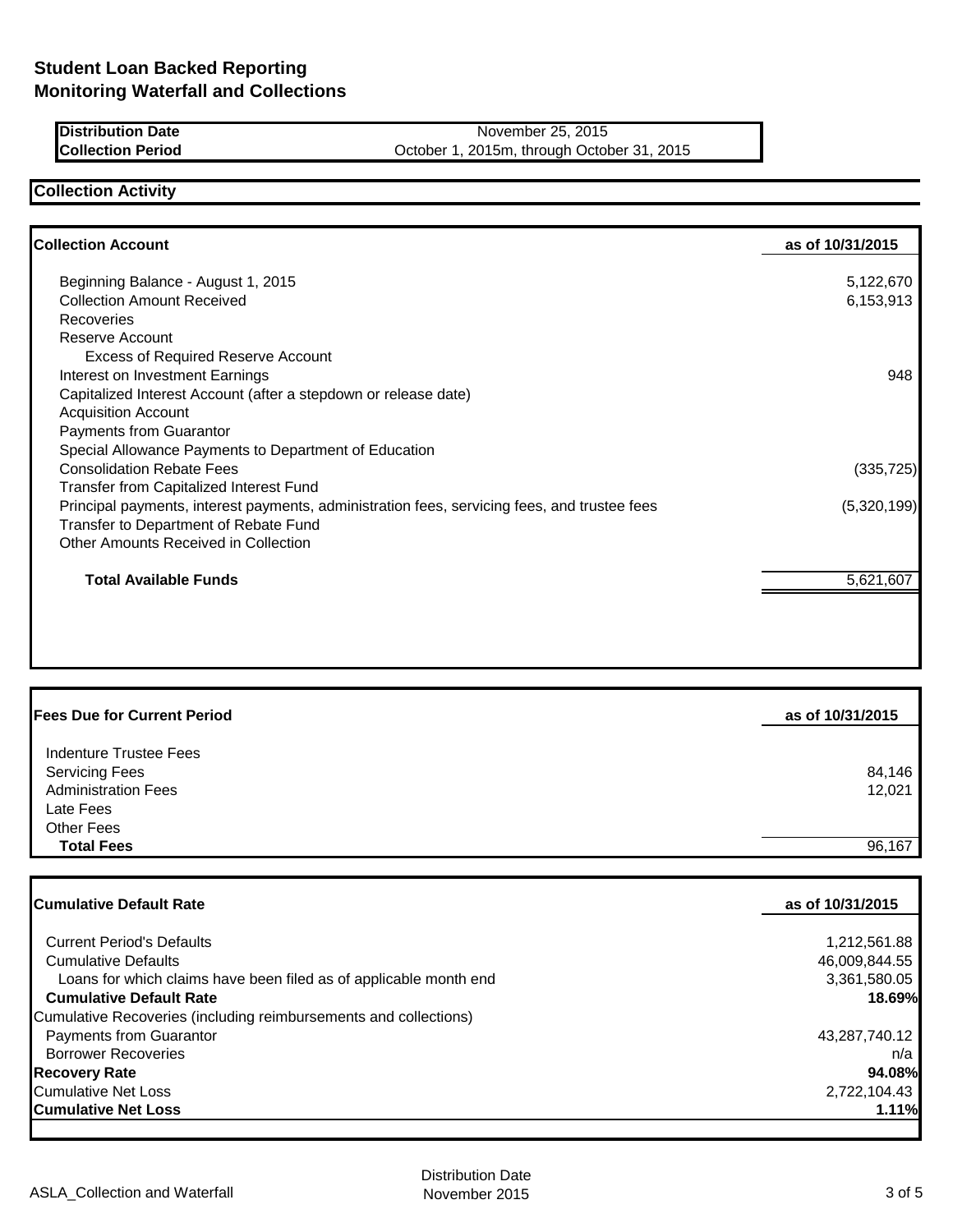| Distribution Date |  |
|-------------------|--|
| Collection Period |  |

**November 25, 2015** October 1, 2015m, through October 31, 2015

# **Collection Activity**

| <b>Collection Account</b>                                                                    | as of 10/31/2015 |
|----------------------------------------------------------------------------------------------|------------------|
| Beginning Balance - August 1, 2015                                                           | 5,122,670        |
| <b>Collection Amount Received</b>                                                            | 6,153,913        |
| Recoveries                                                                                   |                  |
| Reserve Account                                                                              |                  |
| <b>Excess of Required Reserve Account</b>                                                    |                  |
| Interest on Investment Earnings                                                              | 948              |
| Capitalized Interest Account (after a stepdown or release date)                              |                  |
| <b>Acquisition Account</b>                                                                   |                  |
| Payments from Guarantor                                                                      |                  |
| Special Allowance Payments to Department of Education                                        |                  |
| <b>Consolidation Rebate Fees</b>                                                             | (335, 725)       |
| Transfer from Capitalized Interest Fund                                                      |                  |
| Principal payments, interest payments, administration fees, servicing fees, and trustee fees | (5,320,199)      |
| Transfer to Department of Rebate Fund                                                        |                  |
| Other Amounts Received in Collection                                                         |                  |
| <b>Total Available Funds</b>                                                                 | 5,621,607        |
|                                                                                              |                  |
|                                                                                              |                  |

| <b>Fees Due for Current Period</b> | as of 10/31/2015 |
|------------------------------------|------------------|
| Indenture Trustee Fees             |                  |
| <b>Servicing Fees</b>              | 84,146           |
| <b>Administration Fees</b>         | 12,021           |
| Late Fees                          |                  |
| <b>Other Fees</b>                  |                  |
| <b>Total Fees</b>                  | 96,167           |
|                                    |                  |

| <b>Cumulative Default Rate</b>                                    | as of 10/31/2015 |  |
|-------------------------------------------------------------------|------------------|--|
| <b>Current Period's Defaults</b>                                  | 1,212,561.88     |  |
| <b>Cumulative Defaults</b>                                        | 46,009,844.55    |  |
| Loans for which claims have been filed as of applicable month end | 3,361,580.05     |  |
| <b>Cumulative Default Rate</b>                                    | 18.69%           |  |
| Cumulative Recoveries (including reimbursements and collections)  |                  |  |
| Payments from Guarantor                                           | 43,287,740.12    |  |
| <b>Borrower Recoveries</b>                                        | n/a              |  |
| <b>Recovery Rate</b>                                              | 94.08%           |  |
| Cumulative Net Loss                                               | 2,722,104.43     |  |
| <b>Cumulative Net Loss</b>                                        | 1.11%            |  |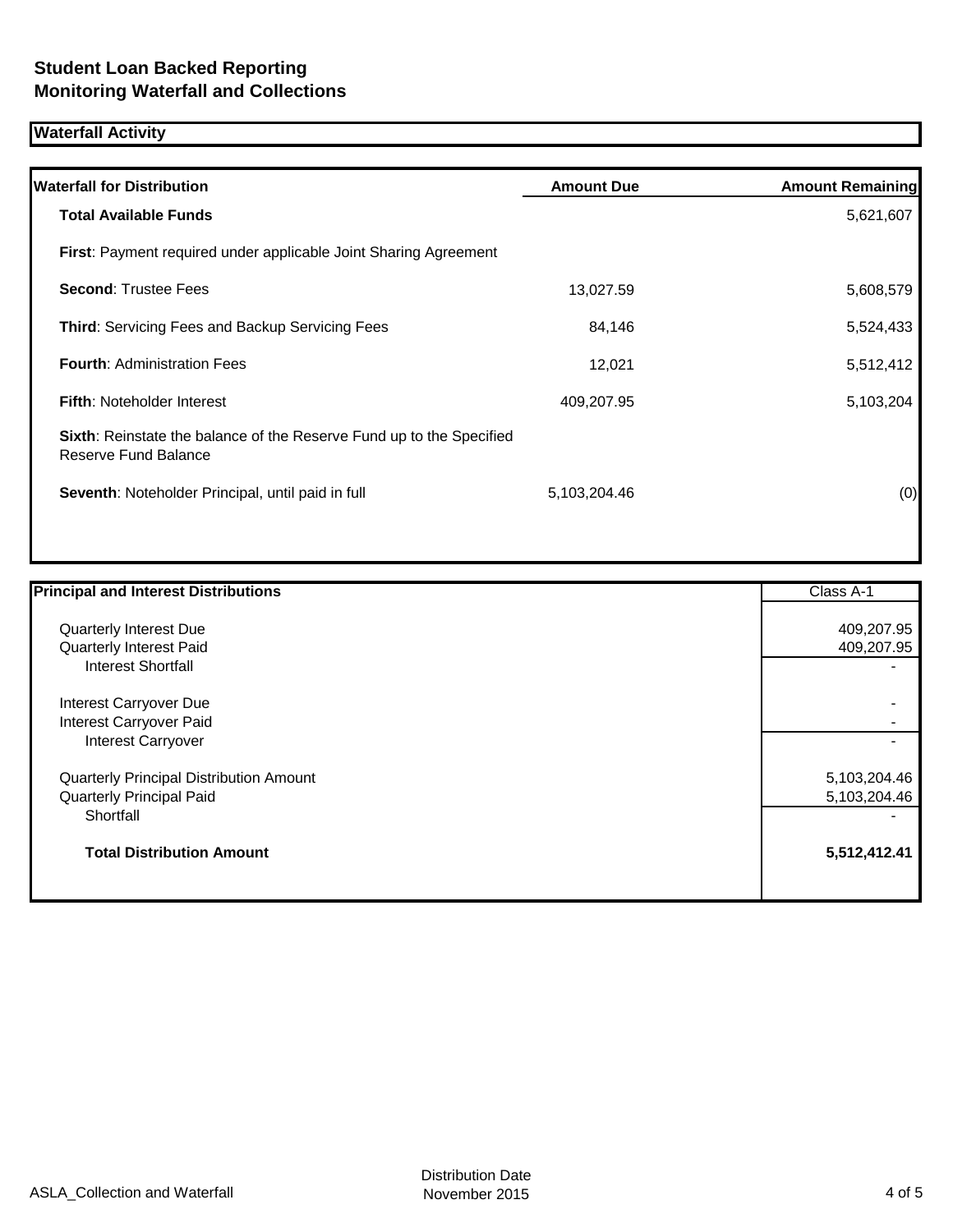# **Waterfall Activity**

| <b>Waterfall for Distribution</b>                                                                   | <b>Amount Due</b> | <b>Amount Remaining</b> |
|-----------------------------------------------------------------------------------------------------|-------------------|-------------------------|
| <b>Total Available Funds</b>                                                                        |                   | 5,621,607               |
| <b>First:</b> Payment required under applicable Joint Sharing Agreement                             |                   |                         |
| <b>Second: Trustee Fees</b>                                                                         | 13,027.59         | 5,608,579               |
| <b>Third: Servicing Fees and Backup Servicing Fees</b>                                              | 84,146            | 5,524,433               |
| <b>Fourth: Administration Fees</b>                                                                  | 12,021            | 5,512,412               |
| <b>Fifth: Noteholder Interest</b>                                                                   | 409,207.95        | 5,103,204               |
| <b>Sixth:</b> Reinstate the balance of the Reserve Fund up to the Specified<br>Reserve Fund Balance |                   |                         |
| Seventh: Noteholder Principal, until paid in full                                                   | 5,103,204.46      | (0)                     |
|                                                                                                     |                   |                         |

| <b>Principal and Interest Distributions</b> | Class A-1    |
|---------------------------------------------|--------------|
| Quarterly Interest Due                      | 409,207.95   |
| Quarterly Interest Paid                     | 409,207.95   |
| Interest Shortfall                          |              |
| Interest Carryover Due                      |              |
| Interest Carryover Paid                     |              |
| <b>Interest Carryover</b>                   |              |
| Quarterly Principal Distribution Amount     | 5,103,204.46 |
| <b>Quarterly Principal Paid</b>             | 5,103,204.46 |
| Shortfall                                   |              |
| <b>Total Distribution Amount</b>            | 5,512,412.41 |
|                                             |              |